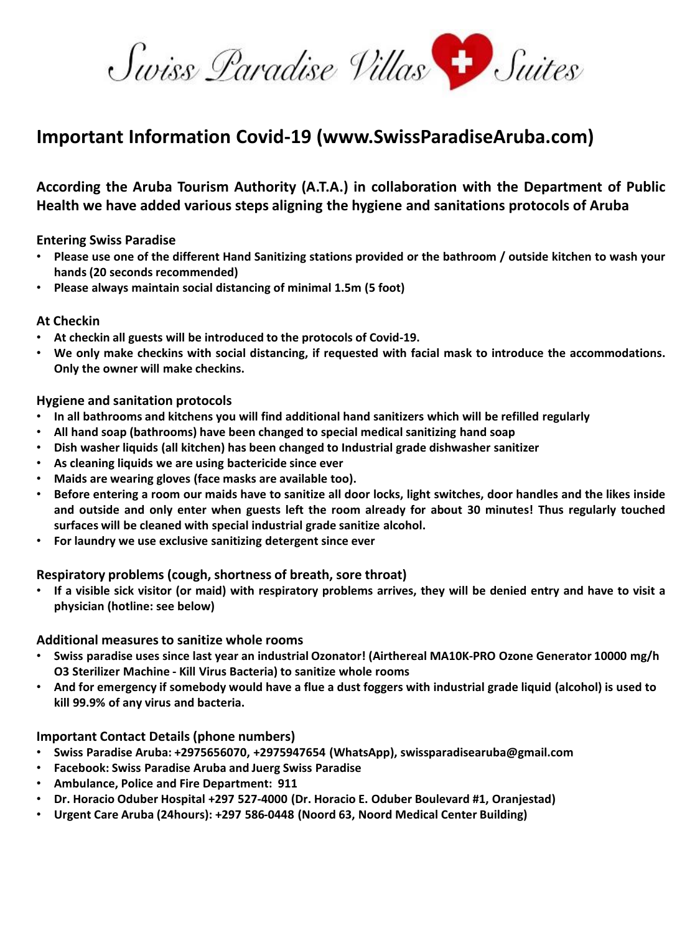Swiss Paradise Villas Suites

# **Important Information Covid-19 (www.SwissParadiseAruba.com)**

# **According the Aruba Tourism Authority (A.T.A.) in collaboration with the Department of Public Health we have added various steps aligning the hygiene and sanitations protocols of Aruba**

**Entering Swiss Paradise**

- . Please use one of the different Hand Sanitizing stations provided or the bathroom / outside kitchen to wash your **hands (20 seconds recommended)**
- **Please always maintain social distancing of minimal 1.5m (5 foot)**

### **At Checkin**

- **At checkin all guests will be introduced to the protocols of Covid-19.**
- **We only make checkins with social distancing, if requested with facial mask to introduce the accommodations. Only the owner will make checkins.**

### **Hygiene and sanitation protocols**

- **In all bathrooms and kitchens you will find additional hand sanitizers which will be refilled regularly**
- **All hand soap (bathrooms) have been changed to special medical sanitizing hand soap**
- **Dish washer liquids (all kitchen) has been changed to Industrial grade dishwasher sanitizer**
- **As cleaning liquids we are using bactericide since ever**
- **Maids are wearing gloves (face masks are available too).**
- Before entering a room our maids have to sanitize all door locks, light switches, door handles and the likes inside and outside and only enter when guests left the room already for about 30 minutes! Thus regularly touched **surfaces will be cleaned with special industrial grade sanitize alcohol.**
- **For laundry we use exclusive sanitizing detergent since ever**

# **Respiratory problems (cough, shortness of breath, sore throat)**

If a visible sick visitor (or maid) with respiratory problems arrives, they will be denied entry and have to visit a **physician (hotline: see below)**

#### **Additional measures to sanitize whole rooms**

- **Swiss paradise uses since last year an industrial Ozonator! (Airthereal MA10K-PRO Ozone Generator 10000 mg/h O3 Sterilizer Machine - Kill Virus Bacteria) to sanitize whole rooms**
- **And for emergency if somebody would have a flue a dust foggers with industrial grade liquid (alcohol) is used to kill 99.9% of any virus and bacteria.**

# **Important Contact Details (phone numbers)**

- **Swiss Paradise Aruba: +2975656070, +2975947654 (WhatsApp), swissparadisearuba@gmail.com**
- **Facebook: Swiss Paradise Aruba and Juerg Swiss Paradise**
- **Ambulance, Police and Fire Department: 911**
- **Dr. Horacio Oduber Hospital +297 527-4000 (Dr. Horacio E. Oduber Boulevard #1, Oranjestad)**
- **Urgent Care Aruba (24hours): +297 586-0448 (Noord 63, Noord Medical Center Building)**